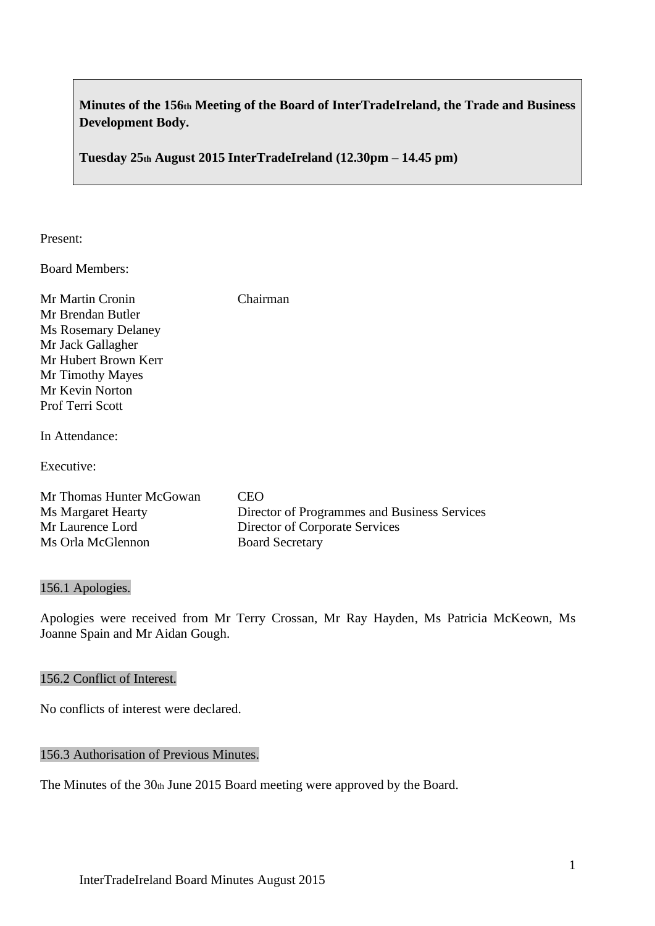# **Minutes of the 156th Meeting of the Board of InterTradeIreland, the Trade and Business Development Body.**

**Tuesday 25th August 2015 InterTradeIreland (12.30pm – 14.45 pm)**

Present:

Board Members:

| Mr Martin Cronin           | Chairman |
|----------------------------|----------|
| Mr Brendan Butler          |          |
| <b>Ms Rosemary Delaney</b> |          |
| Mr Jack Gallagher          |          |
| Mr Hubert Brown Kerr       |          |
| Mr Timothy Mayes           |          |
| Mr Kevin Norton            |          |
| <b>Prof Terri Scott</b>    |          |
|                            |          |
| In Attendance:             |          |

Executive:

| Mr Thomas Hunter McGowan | CEO.                                         |
|--------------------------|----------------------------------------------|
| Ms Margaret Hearty       | Director of Programmes and Business Services |
| Mr Laurence Lord         | Director of Corporate Services               |
| Ms Orla McGlennon        | <b>Board Secretary</b>                       |

#### 156.1 Apologies.

Apologies were received from Mr Terry Crossan, Mr Ray Hayden, Ms Patricia McKeown, Ms Joanne Spain and Mr Aidan Gough.

#### 156.2 Conflict of Interest.

No conflicts of interest were declared.

# 156.3 Authorisation of Previous Minutes.

The Minutes of the 30th June 2015 Board meeting were approved by the Board.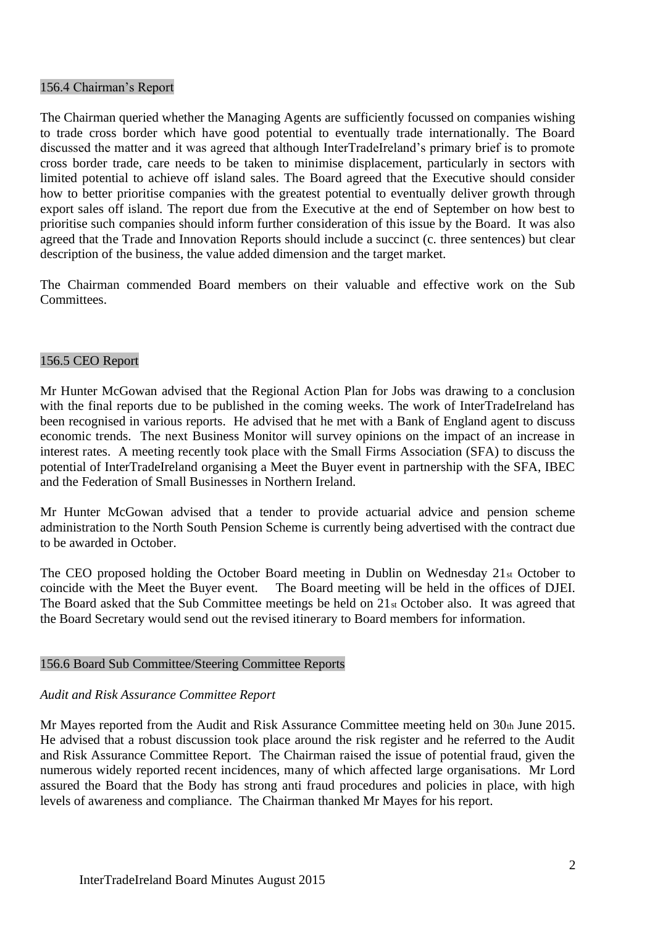#### 156.4 Chairman's Report

The Chairman queried whether the Managing Agents are sufficiently focussed on companies wishing to trade cross border which have good potential to eventually trade internationally. The Board discussed the matter and it was agreed that although InterTradeIreland's primary brief is to promote cross border trade, care needs to be taken to minimise displacement, particularly in sectors with limited potential to achieve off island sales. The Board agreed that the Executive should consider how to better prioritise companies with the greatest potential to eventually deliver growth through export sales off island. The report due from the Executive at the end of September on how best to prioritise such companies should inform further consideration of this issue by the Board. It was also agreed that the Trade and Innovation Reports should include a succinct (c. three sentences) but clear description of the business, the value added dimension and the target market.

The Chairman commended Board members on their valuable and effective work on the Sub **Committees** 

## 156.5 CEO Report

Mr Hunter McGowan advised that the Regional Action Plan for Jobs was drawing to a conclusion with the final reports due to be published in the coming weeks. The work of InterTradeIreland has been recognised in various reports. He advised that he met with a Bank of England agent to discuss economic trends. The next Business Monitor will survey opinions on the impact of an increase in interest rates. A meeting recently took place with the Small Firms Association (SFA) to discuss the potential of InterTradeIreland organising a Meet the Buyer event in partnership with the SFA, IBEC and the Federation of Small Businesses in Northern Ireland.

Mr Hunter McGowan advised that a tender to provide actuarial advice and pension scheme administration to the North South Pension Scheme is currently being advertised with the contract due to be awarded in October.

The CEO proposed holding the October Board meeting in Dublin on Wednesday 21st October to coincide with the Meet the Buyer event. The Board meeting will be held in the offices of DJEI. The Board asked that the Sub Committee meetings be held on 21st October also. It was agreed that the Board Secretary would send out the revised itinerary to Board members for information.

## 156.6 Board Sub Committee/Steering Committee Reports

## *Audit and Risk Assurance Committee Report*

Mr Mayes reported from the Audit and Risk Assurance Committee meeting held on 30th June 2015. He advised that a robust discussion took place around the risk register and he referred to the Audit and Risk Assurance Committee Report. The Chairman raised the issue of potential fraud, given the numerous widely reported recent incidences, many of which affected large organisations. Mr Lord assured the Board that the Body has strong anti fraud procedures and policies in place, with high levels of awareness and compliance. The Chairman thanked Mr Mayes for his report.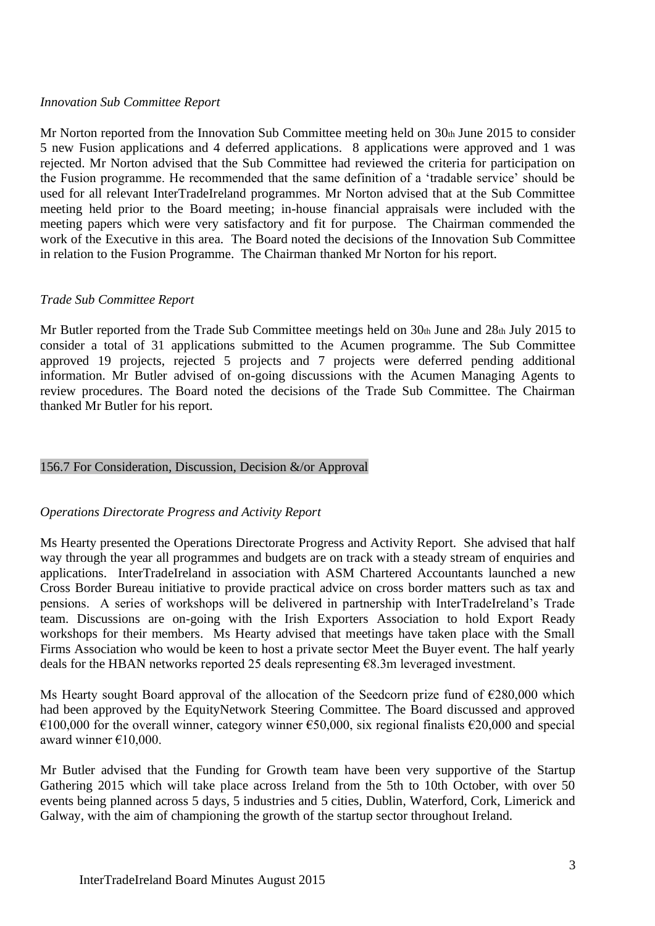## *Innovation Sub Committee Report*

Mr Norton reported from the Innovation Sub Committee meeting held on  $30<sub>th</sub>$  June 2015 to consider 5 new Fusion applications and 4 deferred applications. 8 applications were approved and 1 was rejected. Mr Norton advised that the Sub Committee had reviewed the criteria for participation on the Fusion programme. He recommended that the same definition of a 'tradable service' should be used for all relevant InterTradeIreland programmes. Mr Norton advised that at the Sub Committee meeting held prior to the Board meeting; in-house financial appraisals were included with the meeting papers which were very satisfactory and fit for purpose. The Chairman commended the work of the Executive in this area. The Board noted the decisions of the Innovation Sub Committee in relation to the Fusion Programme. The Chairman thanked Mr Norton for his report.

#### *Trade Sub Committee Report*

Mr Butler reported from the Trade Sub Committee meetings held on 30th June and 28th July 2015 to consider a total of 31 applications submitted to the Acumen programme. The Sub Committee approved 19 projects, rejected 5 projects and 7 projects were deferred pending additional information. Mr Butler advised of on-going discussions with the Acumen Managing Agents to review procedures. The Board noted the decisions of the Trade Sub Committee. The Chairman thanked Mr Butler for his report.

## 156.7 For Consideration, Discussion, Decision &/or Approval

## *Operations Directorate Progress and Activity Report*

Ms Hearty presented the Operations Directorate Progress and Activity Report. She advised that half way through the year all programmes and budgets are on track with a steady stream of enquiries and applications. InterTradeIreland in association with ASM Chartered Accountants launched a new Cross Border Bureau initiative to provide practical advice on cross border matters such as tax and pensions. A series of workshops will be delivered in partnership with InterTradeIreland's Trade team. Discussions are on-going with the Irish Exporters Association to hold Export Ready workshops for their members. Ms Hearty advised that meetings have taken place with the Small Firms Association who would be keen to host a private sector Meet the Buyer event. The half yearly deals for the HBAN networks reported 25 deals representing €8.3m leveraged investment.

Ms Hearty sought Board approval of the allocation of the Seedcorn prize fund of  $\epsilon$ 280,000 which had been approved by the EquityNetwork Steering Committee. The Board discussed and approved €100,000 for the overall winner, category winner €50,000, six regional finalists €20,000 and special award winner €10,000.

Mr Butler advised that the Funding for Growth team have been very supportive of the Startup Gathering 2015 which will take place across Ireland from the 5th to 10th October, with over 50 events being planned across 5 days, 5 industries and 5 cities, Dublin, Waterford, Cork, Limerick and Galway, with the aim of championing the growth of the startup sector throughout Ireland.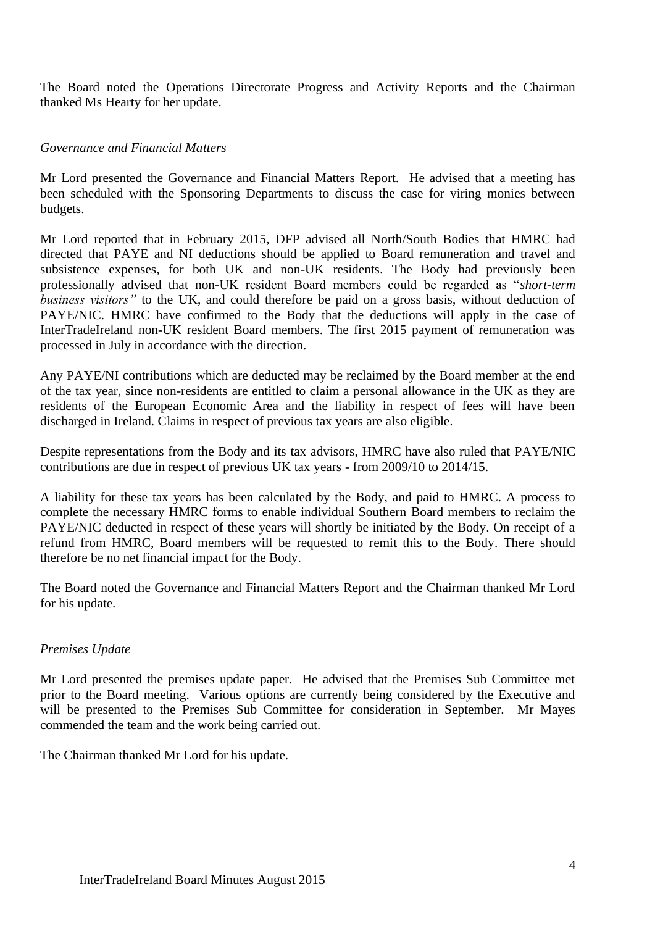The Board noted the Operations Directorate Progress and Activity Reports and the Chairman thanked Ms Hearty for her update.

# *Governance and Financial Matters*

Mr Lord presented the Governance and Financial Matters Report. He advised that a meeting has been scheduled with the Sponsoring Departments to discuss the case for viring monies between budgets.

Mr Lord reported that in February 2015, DFP advised all North/South Bodies that HMRC had directed that PAYE and NI deductions should be applied to Board remuneration and travel and subsistence expenses, for both UK and non-UK residents. The Body had previously been professionally advised that non-UK resident Board members could be regarded as "*short-term business visitors"* to the UK, and could therefore be paid on a gross basis, without deduction of PAYE/NIC. HMRC have confirmed to the Body that the deductions will apply in the case of InterTradeIreland non-UK resident Board members. The first 2015 payment of remuneration was processed in July in accordance with the direction.

Any PAYE/NI contributions which are deducted may be reclaimed by the Board member at the end of the tax year, since non-residents are entitled to claim a personal allowance in the UK as they are residents of the European Economic Area and the liability in respect of fees will have been discharged in Ireland. Claims in respect of previous tax years are also eligible.

Despite representations from the Body and its tax advisors, HMRC have also ruled that PAYE/NIC contributions are due in respect of previous UK tax years - from 2009/10 to 2014/15.

A liability for these tax years has been calculated by the Body, and paid to HMRC. A process to complete the necessary HMRC forms to enable individual Southern Board members to reclaim the PAYE/NIC deducted in respect of these years will shortly be initiated by the Body. On receipt of a refund from HMRC, Board members will be requested to remit this to the Body. There should therefore be no net financial impact for the Body.

The Board noted the Governance and Financial Matters Report and the Chairman thanked Mr Lord for his update.

# *Premises Update*

Mr Lord presented the premises update paper. He advised that the Premises Sub Committee met prior to the Board meeting. Various options are currently being considered by the Executive and will be presented to the Premises Sub Committee for consideration in September. Mr Mayes commended the team and the work being carried out.

The Chairman thanked Mr Lord for his update.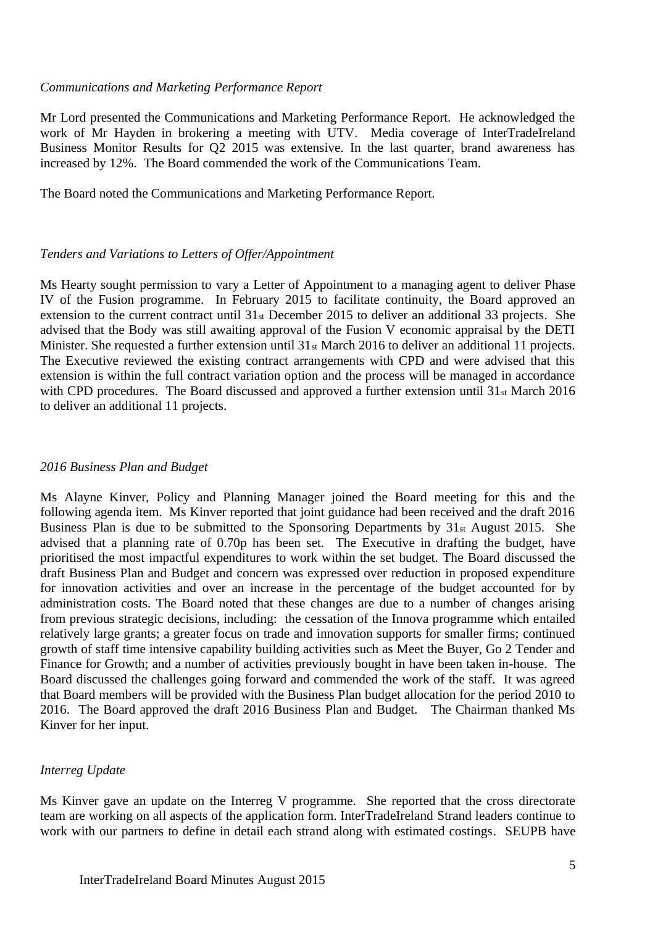#### *Communications and Marketing Performance Report*

Mr Lord presented the Communications and Marketing Performance Report. He acknowledged the work of Mr Hayden in brokering a meeting with UTV. Media coverage of InterTradeIreland Business Monitor Results for Q2 2015 was extensive. In the last quarter, brand awareness has increased by 12%. The Board commended the work of the Communications Team.

The Board noted the Communications and Marketing Performance Report.

#### *Tenders and Variations to Letters of Offer/Appointment*

Ms Hearty sought permission to vary a Letter of Appointment to a managing agent to deliver Phase IV of the Fusion programme. In February 2015 to facilitate continuity, the Board approved an extension to the current contract until 31st December 2015 to deliver an additional 33 projects. She advised that the Body was still awaiting approval of the Fusion V economic appraisal by the DETI Minister. She requested a further extension until 31st March 2016 to deliver an additional 11 projects. The Executive reviewed the existing contract arrangements with CPD and were advised that this extension is within the full contract variation option and the process will be managed in accordance with CPD procedures. The Board discussed and approved a further extension until 31<sup>st</sup> March 2016 to deliver an additional 11 projects.

#### *2016 Business Plan and Budget*

Ms Alayne Kinver, Policy and Planning Manager joined the Board meeting for this and the following agenda item. Ms Kinver reported that joint guidance had been received and the draft 2016 Business Plan is due to be submitted to the Sponsoring Departments by 31st August 2015. She advised that a planning rate of 0.70p has been set. The Executive in drafting the budget, have prioritised the most impactful expenditures to work within the set budget. The Board discussed the draft Business Plan and Budget and concern was expressed over reduction in proposed expenditure for innovation activities and over an increase in the percentage of the budget accounted for by administration costs. The Board noted that these changes are due to a number of changes arising from previous strategic decisions, including: the cessation of the Innova programme which entailed relatively large grants; a greater focus on trade and innovation supports for smaller firms; continued growth of staff time intensive capability building activities such as Meet the Buyer, Go 2 Tender and Finance for Growth; and a number of activities previously bought in have been taken in-house. The Board discussed the challenges going forward and commended the work of the staff. It was agreed that Board members will be provided with the Business Plan budget allocation for the period 2010 to 2016. The Board approved the draft 2016 Business Plan and Budget. The Chairman thanked Ms Kinver for her input.

## *Interreg Update*

Ms Kinver gave an update on the Interreg V programme. She reported that the cross directorate team are working on all aspects of the application form. InterTradeIreland Strand leaders continue to work with our partners to define in detail each strand along with estimated costings. SEUPB have